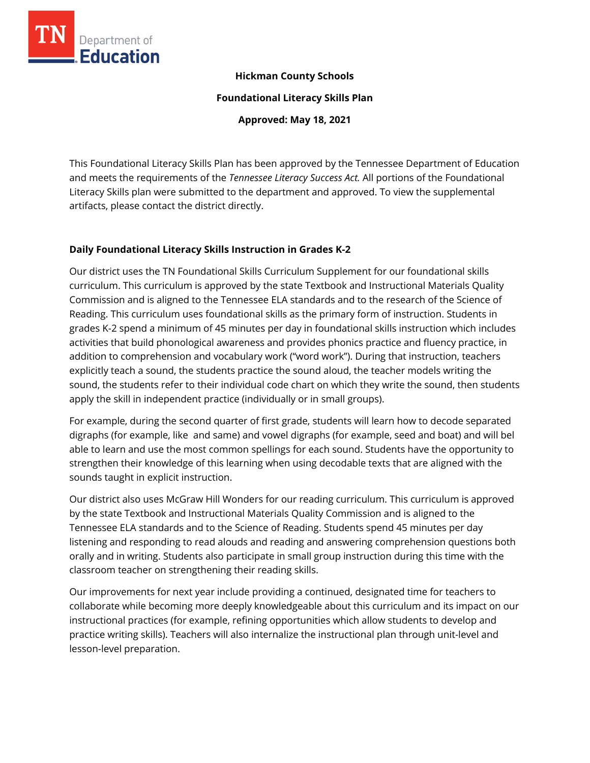

### **Hickman County Schools**

**Foundational Literacy Skills Plan** 

**Approved: May 18, 2021** 

This Foundational Literacy Skills Plan has been approved by the Tennessee Department of Education and meets the requirements of the *Tennessee Literacy Success Act.* All portions of the Foundational Literacy Skills plan were submitted to the department and approved. To view the supplemental artifacts, please contact the district directly.

### **Daily Foundational Literacy Skills Instruction in Grades K-2**

Our district uses the TN Foundational Skills Curriculum Supplement for our foundational skills curriculum. This curriculum is approved by the state Textbook and Instructional Materials Quality Commission and is aligned to the Tennessee ELA standards and to the research of the Science of Reading. This curriculum uses foundational skills as the primary form of instruction. Students in grades K-2 spend a minimum of 45 minutes per day in foundational skills instruction which includes activities that build phonological awareness and provides phonics practice and fluency practice, in addition to comprehension and vocabulary work ("word work"). During that instruction, teachers explicitly teach a sound, the students practice the sound aloud, the teacher models writing the sound, the students refer to their individual code chart on which they write the sound, then students apply the skill in independent practice (individually or in small groups).

For example, during the second quarter of first grade, students will learn how to decode separated digraphs (for example, like and same) and vowel digraphs (for example, seed and boat) and will bel able to learn and use the most common spellings for each sound. Students have the opportunity to strengthen their knowledge of this learning when using decodable texts that are aligned with the sounds taught in explicit instruction.

Our district also uses McGraw Hill Wonders for our reading curriculum. This curriculum is approved by the state Textbook and Instructional Materials Quality Commission and is aligned to the Tennessee ELA standards and to the Science of Reading. Students spend 45 minutes per day listening and responding to read alouds and reading and answering comprehension questions both orally and in writing. Students also participate in small group instruction during this time with the classroom teacher on strengthening their reading skills.

Our improvements for next year include providing a continued, designated time for teachers to collaborate while becoming more deeply knowledgeable about this curriculum and its impact on our instructional practices (for example, refining opportunities which allow students to develop and practice writing skills). Teachers will also internalize the instructional plan through unit-level and lesson-level preparation.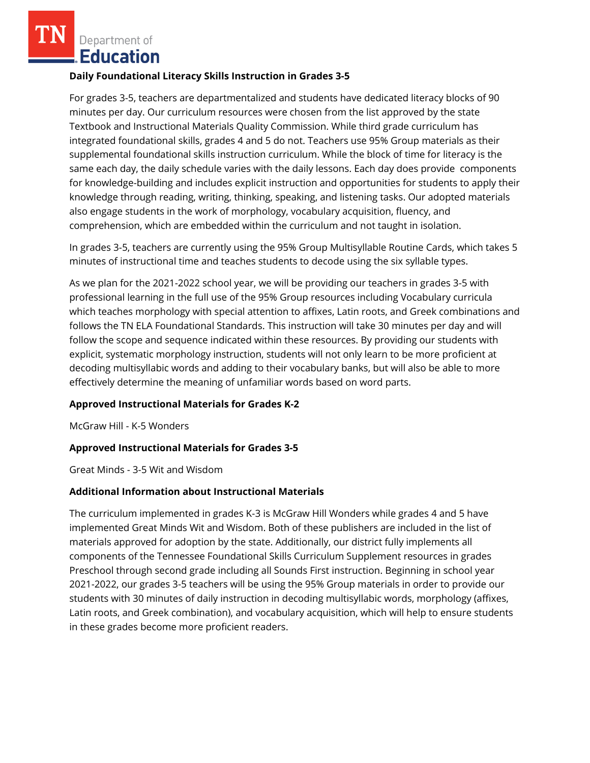Department of **Education** 

### **Daily Foundational Literacy Skills Instruction in Grades 3-5**

For grades 3-5, teachers are departmentalized and students have dedicated literacy blocks of 90 minutes per day. Our curriculum resources were chosen from the list approved by the state Textbook and Instructional Materials Quality Commission. While third grade curriculum has integrated foundational skills, grades 4 and 5 do not. Teachers use 95% Group materials as their supplemental foundational skills instruction curriculum. While the block of time for literacy is the same each day, the daily schedule varies with the daily lessons. Each day does provide components for knowledge-building and includes explicit instruction and opportunities for students to apply their knowledge through reading, writing, thinking, speaking, and listening tasks. Our adopted materials also engage students in the work of morphology, vocabulary acquisition, fluency, and comprehension, which are embedded within the curriculum and not taught in isolation.

In grades 3-5, teachers are currently using the 95% Group Multisyllable Routine Cards, which takes 5 minutes of instructional time and teaches students to decode using the six syllable types.

As we plan for the 2021-2022 school year, we will be providing our teachers in grades 3-5 with professional learning in the full use of the 95% Group resources including Vocabulary curricula which teaches morphology with special attention to affixes, Latin roots, and Greek combinations and follows the TN ELA Foundational Standards. This instruction will take 30 minutes per day and will follow the scope and sequence indicated within these resources. By providing our students with explicit, systematic morphology instruction, students will not only learn to be more proficient at decoding multisyllabic words and adding to their vocabulary banks, but will also be able to more effectively determine the meaning of unfamiliar words based on word parts.

### **Approved Instructional Materials for Grades K-2**

McGraw Hill - K-5 Wonders

### **Approved Instructional Materials for Grades 3-5**

Great Minds - 3-5 Wit and Wisdom

#### **Additional Information about Instructional Materials**

The curriculum implemented in grades K-3 is McGraw Hill Wonders while grades 4 and 5 have implemented Great Minds Wit and Wisdom. Both of these publishers are included in the list of materials approved for adoption by the state. Additionally, our district fully implements all components of the Tennessee Foundational Skills Curriculum Supplement resources in grades Preschool through second grade including all Sounds First instruction. Beginning in school year 2021-2022, our grades 3-5 teachers will be using the 95% Group materials in order to provide our students with 30 minutes of daily instruction in decoding multisyllabic words, morphology (affixes, Latin roots, and Greek combination), and vocabulary acquisition, which will help to ensure students in these grades become more proficient readers.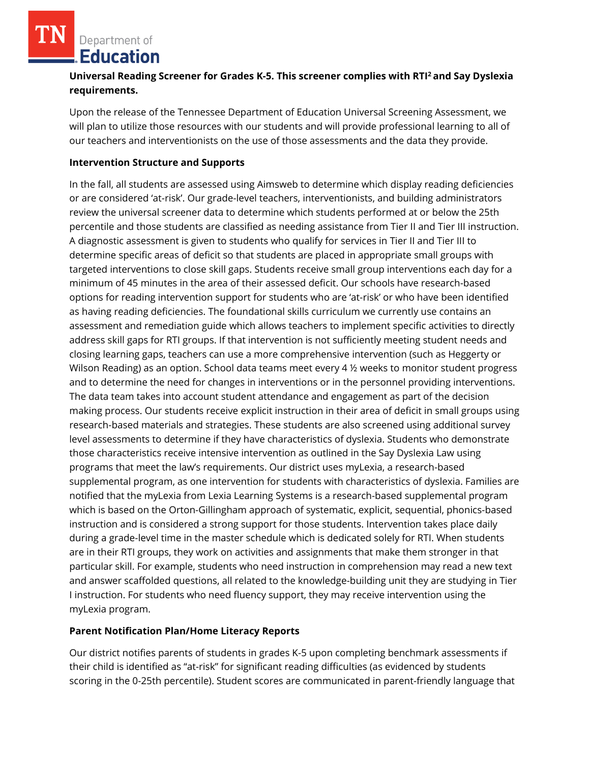Department of **Education** 

# **Universal Reading Screener for Grades K-5. This screener complies with RTI<sup>2</sup>and Say Dyslexia requirements.**

Upon the release of the Tennessee Department of Education Universal Screening Assessment, we will plan to utilize those resources with our students and will provide professional learning to all of our teachers and interventionists on the use of those assessments and the data they provide.

### **Intervention Structure and Supports**

In the fall, all students are assessed using Aimsweb to determine which display reading deficiencies or are considered 'at-risk'. Our grade-level teachers, interventionists, and building administrators review the universal screener data to determine which students performed at or below the 25th percentile and those students are classified as needing assistance from Tier II and Tier III instruction. A diagnostic assessment is given to students who qualify for services in Tier II and Tier III to determine specific areas of deficit so that students are placed in appropriate small groups with targeted interventions to close skill gaps. Students receive small group interventions each day for a minimum of 45 minutes in the area of their assessed deficit. Our schools have research-based options for reading intervention support for students who are 'at-risk' or who have been identified as having reading deficiencies. The foundational skills curriculum we currently use contains an assessment and remediation guide which allows teachers to implement specific activities to directly address skill gaps for RTI groups. If that intervention is not sufficiently meeting student needs and closing learning gaps, teachers can use a more comprehensive intervention (such as Heggerty or Wilson Reading) as an option. School data teams meet every 4 ½ weeks to monitor student progress and to determine the need for changes in interventions or in the personnel providing interventions. The data team takes into account student attendance and engagement as part of the decision making process. Our students receive explicit instruction in their area of deficit in small groups using research-based materials and strategies. These students are also screened using additional survey level assessments to determine if they have characteristics of dyslexia. Students who demonstrate those characteristics receive intensive intervention as outlined in the Say Dyslexia Law using programs that meet the law's requirements. Our district uses myLexia, a research-based supplemental program, as one intervention for students with characteristics of dyslexia. Families are notified that the myLexia from Lexia Learning Systems is a research-based supplemental program which is based on the Orton-Gillingham approach of systematic, explicit, sequential, phonics-based instruction and is considered a strong support for those students. Intervention takes place daily during a grade-level time in the master schedule which is dedicated solely for RTI. When students are in their RTI groups, they work on activities and assignments that make them stronger in that particular skill. For example, students who need instruction in comprehension may read a new text and answer scaffolded questions, all related to the knowledge-building unit they are studying in Tier I instruction. For students who need fluency support, they may receive intervention using the myLexia program.

### **Parent Notification Plan/Home Literacy Reports**

Our district notifies parents of students in grades K-5 upon completing benchmark assessments if their child is identified as "at-risk" for significant reading difficulties (as evidenced by students scoring in the 0-25th percentile). Student scores are communicated in parent-friendly language that